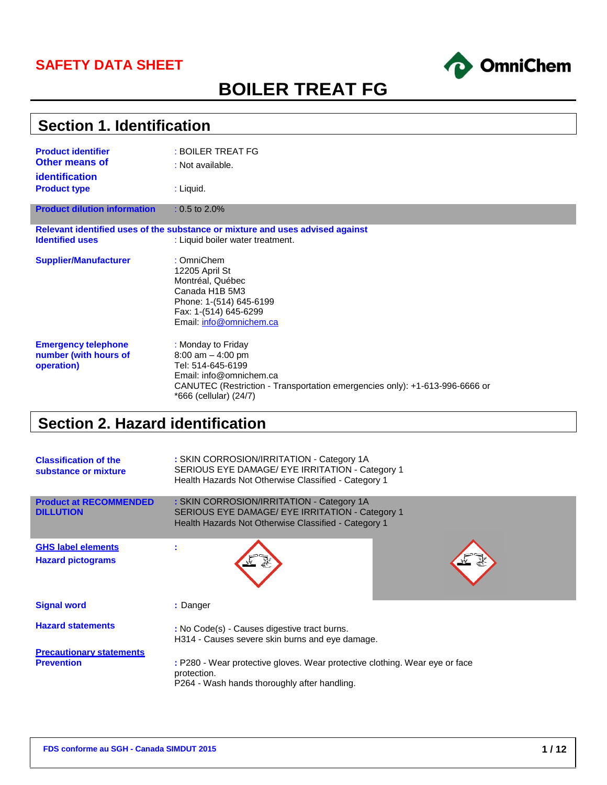### **SAFETY DATA SHEET**



# **BOILER TREAT FG**

| <b>Section 1. Identification</b>                                            |                                                                                                                                                                                                     |  |  |  |  |
|-----------------------------------------------------------------------------|-----------------------------------------------------------------------------------------------------------------------------------------------------------------------------------------------------|--|--|--|--|
| <b>Product identifier</b><br><b>Other means of</b><br><i>identification</i> | : BOILER TREAT FG<br>: Not available.                                                                                                                                                               |  |  |  |  |
| <b>Product type</b>                                                         | : Liquid.                                                                                                                                                                                           |  |  |  |  |
| <b>Product dilution information</b>                                         | $: 0.5$ to 2.0%                                                                                                                                                                                     |  |  |  |  |
|                                                                             | Relevant identified uses of the substance or mixture and uses advised against                                                                                                                       |  |  |  |  |
| <b>Identified uses</b>                                                      | : Liquid boiler water treatment.                                                                                                                                                                    |  |  |  |  |
| <b>Supplier/Manufacturer</b>                                                | : OmniChem<br>12205 April St<br>Montréal, Québec<br>Canada H1B 5M3<br>Phone: 1-(514) 645-6199<br>Fax: 1-(514) 645-6299<br>Email: info@omnichem.ca                                                   |  |  |  |  |
| <b>Emergency telephone</b><br>number (with hours of<br>operation)           | : Monday to Friday<br>$8:00$ am $-4:00$ pm<br>Tel: 514-645-6199<br>Email: info@omnichem.ca<br>CANUTEC (Restriction - Transportation emergencies only): +1-613-996-6666 or<br>*666 (cellular) (24/7) |  |  |  |  |

# **Section 2. Hazard identification**

| <b>Classification of the</b><br>substance or mixture  | : SKIN CORROSION/IRRITATION - Category 1A<br>SERIOUS EYE DAMAGE/ EYE IRRITATION - Category 1<br>Health Hazards Not Otherwise Classified - Category 1 |
|-------------------------------------------------------|------------------------------------------------------------------------------------------------------------------------------------------------------|
| <b>Product at RECOMMENDED</b><br><b>DILLUTION</b>     | : SKIN CORROSION/IRRITATION - Category 1A<br>SERIOUS EYE DAMAGE/ EYE IRRITATION - Category 1<br>Health Hazards Not Otherwise Classified - Category 1 |
| <b>GHS label elements</b><br><b>Hazard pictograms</b> |                                                                                                                                                      |
| <b>Signal word</b>                                    | : Danger                                                                                                                                             |
| <b>Hazard statements</b>                              | : No Code(s) - Causes digestive tract burns.<br>H314 - Causes severe skin burns and eye damage.                                                      |
| <b>Precautionary statements</b><br><b>Prevention</b>  | : P280 - Wear protective gloves. Wear protective clothing. Wear eye or face<br>protection.<br>P264 - Wash hands thoroughly after handling.           |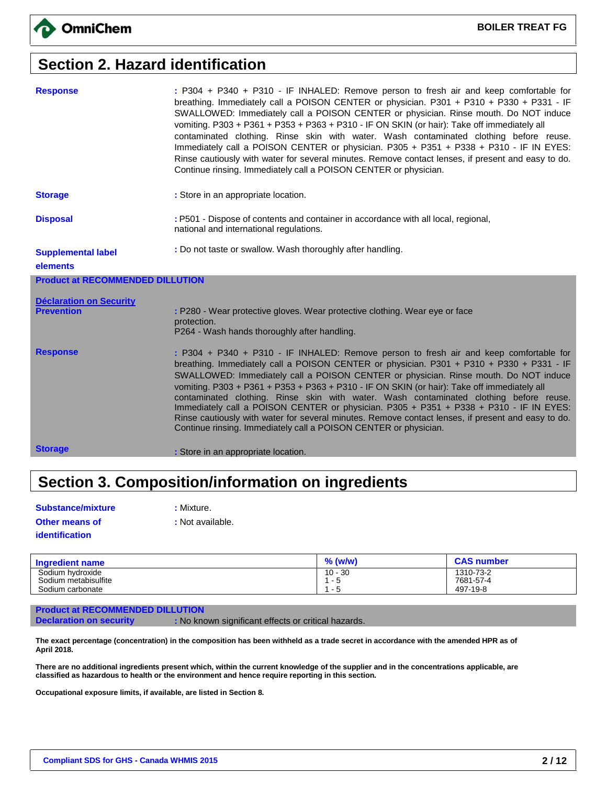## **Section 2. Hazard identification**

| <b>Response</b>                         | : P304 + P340 + P310 - IF INHALED: Remove person to fresh air and keep comfortable for<br>breathing. Immediately call a POISON CENTER or physician. P301 + P310 + P330 + P331 - IF<br>SWALLOWED: Immediately call a POISON CENTER or physician. Rinse mouth. Do NOT induce<br>vomiting. P303 + P361 + P353 + P363 + P310 - IF ON SKIN (or hair): Take off immediately all<br>contaminated clothing. Rinse skin with water. Wash contaminated clothing before reuse.<br>Immediately call a POISON CENTER or physician. P305 + P351 + P338 + P310 - IF IN EYES:<br>Rinse cautiously with water for several minutes. Remove contact lenses, if present and easy to do.<br>Continue rinsing. Immediately call a POISON CENTER or physician. |
|-----------------------------------------|-----------------------------------------------------------------------------------------------------------------------------------------------------------------------------------------------------------------------------------------------------------------------------------------------------------------------------------------------------------------------------------------------------------------------------------------------------------------------------------------------------------------------------------------------------------------------------------------------------------------------------------------------------------------------------------------------------------------------------------------|
| <b>Storage</b>                          | : Store in an appropriate location.                                                                                                                                                                                                                                                                                                                                                                                                                                                                                                                                                                                                                                                                                                     |
| <b>Disposal</b>                         | : P501 - Dispose of contents and container in accordance with all local, regional,<br>national and international regulations.                                                                                                                                                                                                                                                                                                                                                                                                                                                                                                                                                                                                           |
| <b>Supplemental label</b>               | : Do not taste or swallow. Wash thoroughly after handling.                                                                                                                                                                                                                                                                                                                                                                                                                                                                                                                                                                                                                                                                              |
| elements                                |                                                                                                                                                                                                                                                                                                                                                                                                                                                                                                                                                                                                                                                                                                                                         |
| <b>Product at RECOMMENDED DILLUTION</b> |                                                                                                                                                                                                                                                                                                                                                                                                                                                                                                                                                                                                                                                                                                                                         |
| <b>Déclaration on Security</b>          |                                                                                                                                                                                                                                                                                                                                                                                                                                                                                                                                                                                                                                                                                                                                         |
| <b>Prevention</b>                       | : P280 - Wear protective gloves. Wear protective clothing. Wear eye or face<br>protection.                                                                                                                                                                                                                                                                                                                                                                                                                                                                                                                                                                                                                                              |
|                                         | P264 - Wash hands thoroughly after handling.                                                                                                                                                                                                                                                                                                                                                                                                                                                                                                                                                                                                                                                                                            |
| <b>Response</b>                         | : P304 + P340 + P310 - IF INHALED: Remove person to fresh air and keep comfortable for<br>breathing. Immediately call a POISON CENTER or physician. P301 + P310 + P330 + P331 - IF<br>SWALLOWED: Immediately call a POISON CENTER or physician. Rinse mouth. Do NOT induce<br>vomiting. P303 + P361 + P353 + P363 + P310 - IF ON SKIN (or hair): Take off immediately all<br>contaminated clothing. Rinse skin with water. Wash contaminated clothing before reuse.<br>Immediately call a POISON CENTER or physician. P305 + P351 + P338 + P310 - IF IN EYES:<br>Rinse cautiously with water for several minutes. Remove contact lenses, if present and easy to do.<br>Continue rinsing. Immediately call a POISON CENTER or physician. |
| <b>Storage</b>                          | : Store in an appropriate location.                                                                                                                                                                                                                                                                                                                                                                                                                                                                                                                                                                                                                                                                                                     |

# **Section 3. Composition/information on ingredients**

available.

| <b>Substance/mixture</b> | : Mixture. |
|--------------------------|------------|
| <b>Other means of</b>    | : Not avai |
| identification           |            |

| <b>Ingredient name</b>                   | $%$ (w/w)          | <b>CAS number</b>      |
|------------------------------------------|--------------------|------------------------|
| Sodium hydroxide<br>Sodium metabisulfite | $10 - 30$<br>. - ఓ | 1310-73-2<br>7681-57-4 |
| Sodium carbonate                         | . .                | 497-19-8               |

#### **Product at RECOMMENDED DILLUTION**

**Declaration on security : No known significant effects or critical hazards.** 

**The exact percentage (concentration) in the composition has been withheld as a trade secret in accordance with the amended HPR as of April 2018.**

**There are no additional ingredients present which, within the current knowledge of the supplier and in the concentrations applicable, are classified as hazardous to health or the environment and hence require reporting in this section.**

**Occupational exposure limits, if available, are listed in Section 8.**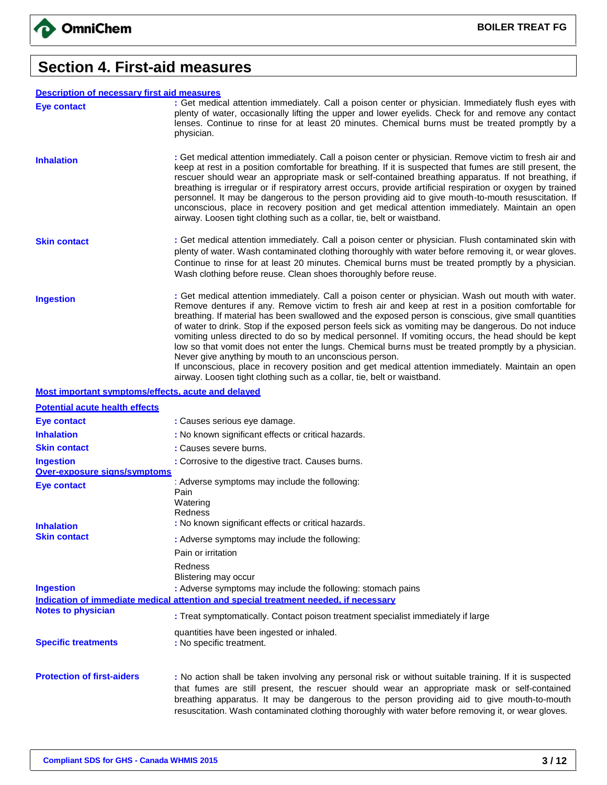

### **Section 4. First-aid measures**

#### **Description of necessary first aid measures**

| <b>Description of necessary first aid measures</b> |                                                                                                                                                                                                                                                                                                                                                                                                                                                                                                                                                                                                                                                                                                                                 |
|----------------------------------------------------|---------------------------------------------------------------------------------------------------------------------------------------------------------------------------------------------------------------------------------------------------------------------------------------------------------------------------------------------------------------------------------------------------------------------------------------------------------------------------------------------------------------------------------------------------------------------------------------------------------------------------------------------------------------------------------------------------------------------------------|
| <b>Eye contact</b>                                 | : Get medical attention immediately. Call a poison center or physician. Immediately flush eyes with<br>plenty of water, occasionally lifting the upper and lower eyelids. Check for and remove any contact<br>lenses. Continue to rinse for at least 20 minutes. Chemical burns must be treated promptly by a<br>physician.                                                                                                                                                                                                                                                                                                                                                                                                     |
| <b>Inhalation</b>                                  | : Get medical attention immediately. Call a poison center or physician. Remove victim to fresh air and<br>keep at rest in a position comfortable for breathing. If it is suspected that fumes are still present, the<br>rescuer should wear an appropriate mask or self-contained breathing apparatus. If not breathing, if<br>breathing is irregular or if respiratory arrest occurs, provide artificial respiration or oxygen by trained<br>personnel. It may be dangerous to the person providing aid to give mouth-to-mouth resuscitation. If<br>unconscious, place in recovery position and get medical attention immediately. Maintain an open<br>airway. Loosen tight clothing such as a collar, tie, belt or waistband. |
| <b>Skin contact</b>                                | : Get medical attention immediately. Call a poison center or physician. Flush contaminated skin with<br>plenty of water. Wash contaminated clothing thoroughly with water before removing it, or wear gloves.<br>Continue to rinse for at least 20 minutes. Chemical burns must be treated promptly by a physician.<br>Wash clothing before reuse. Clean shoes thoroughly before reuse.                                                                                                                                                                                                                                                                                                                                         |
| <b>Ingestion</b>                                   | : Get medical attention immediately. Call a poison center or physician. Wash out mouth with water.<br>Remove dentures if any. Remove victim to fresh air and keep at rest in a position comfortable for<br>breathing. If material has been swallowed and the exposed person is conscious, give small quantities<br>of water to drink. Stop if the exposed person feels sick as vomiting may be dangerous. Do not induce<br>vomiting unless directed to do so by medical personnel. If vomiting occurs, the head should be kept<br>low so that vomit does not enter the lungs. Chemical burns must be treated promptly by a physician.                                                                                           |

Never give anything by mouth to an unconscious person. If unconscious, place in recovery position and get medical attention immediately. Maintain an open airway. Loosen tight clothing such as a collar, tie, belt or waistband.

#### **Most important symptoms/effects, acute and delayed**

| <b>Potential acute health effects</b> |                                                                                                                                                                                                                                                                                                                                                                                                              |
|---------------------------------------|--------------------------------------------------------------------------------------------------------------------------------------------------------------------------------------------------------------------------------------------------------------------------------------------------------------------------------------------------------------------------------------------------------------|
| <b>Eye contact</b>                    | : Causes serious eye damage.                                                                                                                                                                                                                                                                                                                                                                                 |
| <b>Inhalation</b>                     | : No known significant effects or critical hazards.                                                                                                                                                                                                                                                                                                                                                          |
| <b>Skin contact</b>                   | : Causes severe burns.                                                                                                                                                                                                                                                                                                                                                                                       |
| <b>Ingestion</b>                      | : Corrosive to the digestive tract. Causes burns.                                                                                                                                                                                                                                                                                                                                                            |
| Over-exposure signs/symptoms          |                                                                                                                                                                                                                                                                                                                                                                                                              |
| <b>Eye contact</b>                    | : Adverse symptoms may include the following:<br>Pain                                                                                                                                                                                                                                                                                                                                                        |
| <b>Inhalation</b>                     | Watering<br>Redness<br>: No known significant effects or critical hazards.                                                                                                                                                                                                                                                                                                                                   |
| <b>Skin contact</b>                   | : Adverse symptoms may include the following:                                                                                                                                                                                                                                                                                                                                                                |
|                                       | Pain or irritation                                                                                                                                                                                                                                                                                                                                                                                           |
|                                       | Redness<br>Blistering may occur                                                                                                                                                                                                                                                                                                                                                                              |
| <b>Ingestion</b>                      | : Adverse symptoms may include the following: stomach pains                                                                                                                                                                                                                                                                                                                                                  |
|                                       | Indication of immediate medical attention and special treatment needed, if necessary                                                                                                                                                                                                                                                                                                                         |
| <b>Notes to physician</b>             | : Treat symptomatically. Contact poison treatment specialist immediately if large                                                                                                                                                                                                                                                                                                                            |
| <b>Specific treatments</b>            | quantities have been ingested or inhaled.<br>: No specific treatment.                                                                                                                                                                                                                                                                                                                                        |
| <b>Protection of first-aiders</b>     | : No action shall be taken involving any personal risk or without suitable training. If it is suspected<br>that fumes are still present, the rescuer should wear an appropriate mask or self-contained<br>breathing apparatus. It may be dangerous to the person providing aid to give mouth-to-mouth<br>resuscitation. Wash contaminated clothing thoroughly with water before removing it, or wear gloves. |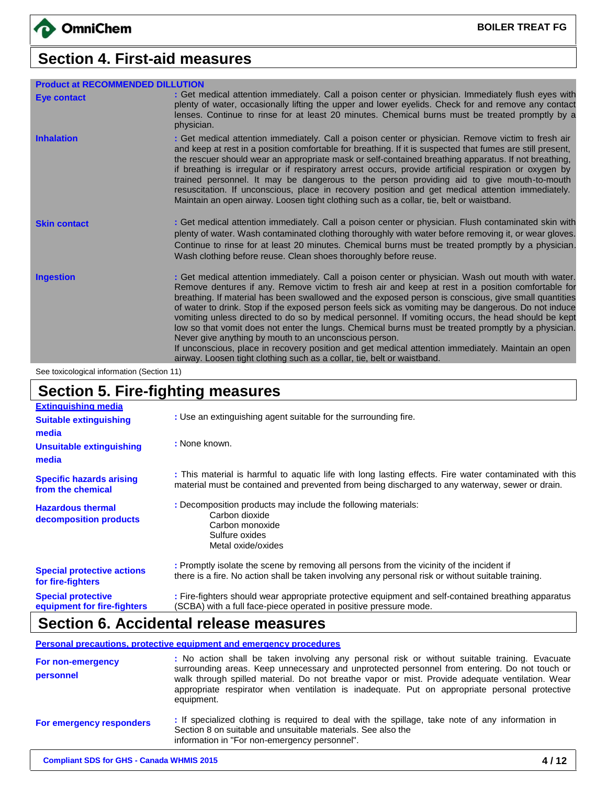# **Section 4. First-aid measures**

| <b>Product at RECOMMENDED DILLUTION</b> |                                                                                                                                                                                                                                                                                                                                                                                                                                                                                                                                                                                                                                                                                                                                                                                                                                                                                  |
|-----------------------------------------|----------------------------------------------------------------------------------------------------------------------------------------------------------------------------------------------------------------------------------------------------------------------------------------------------------------------------------------------------------------------------------------------------------------------------------------------------------------------------------------------------------------------------------------------------------------------------------------------------------------------------------------------------------------------------------------------------------------------------------------------------------------------------------------------------------------------------------------------------------------------------------|
| <b>Eye contact</b>                      | : Get medical attention immediately. Call a poison center or physician. Immediately flush eyes with<br>plenty of water, occasionally lifting the upper and lower eyelids. Check for and remove any contact<br>lenses. Continue to rinse for at least 20 minutes. Chemical burns must be treated promptly by a<br>physician.                                                                                                                                                                                                                                                                                                                                                                                                                                                                                                                                                      |
| <b>Inhalation</b>                       | : Get medical attention immediately. Call a poison center or physician. Remove victim to fresh air<br>and keep at rest in a position comfortable for breathing. If it is suspected that fumes are still present,<br>the rescuer should wear an appropriate mask or self-contained breathing apparatus. If not breathing,<br>if breathing is irregular or if respiratory arrest occurs, provide artificial respiration or oxygen by<br>trained personnel. It may be dangerous to the person providing aid to give mouth-to-mouth<br>resuscitation. If unconscious, place in recovery position and get medical attention immediately.<br>Maintain an open airway. Loosen tight clothing such as a collar, tie, belt or waistband.                                                                                                                                                  |
| <b>Skin contact</b>                     | : Get medical attention immediately. Call a poison center or physician. Flush contaminated skin with<br>plenty of water. Wash contaminated clothing thoroughly with water before removing it, or wear gloves.<br>Continue to rinse for at least 20 minutes. Chemical burns must be treated promptly by a physician.<br>Wash clothing before reuse. Clean shoes thoroughly before reuse.                                                                                                                                                                                                                                                                                                                                                                                                                                                                                          |
| <b>Ingestion</b>                        | : Get medical attention immediately. Call a poison center or physician. Wash out mouth with water.<br>Remove dentures if any. Remove victim to fresh air and keep at rest in a position comfortable for<br>breathing. If material has been swallowed and the exposed person is conscious, give small quantities<br>of water to drink. Stop if the exposed person feels sick as vomiting may be dangerous. Do not induce<br>vomiting unless directed to do so by medical personnel. If vomiting occurs, the head should be kept<br>low so that vomit does not enter the lungs. Chemical burns must be treated promptly by a physician.<br>Never give anything by mouth to an unconscious person.<br>If unconscious, place in recovery position and get medical attention immediately. Maintain an open<br>airway. Loosen tight clothing such as a collar, tie, belt or waistband. |

See toxicological information (Section 11)

# **Section 5. Fire-fighting measures**

| <b>Extinguishing media</b>                               |                                                                                                                                                                                                            |  |  |  |  |  |
|----------------------------------------------------------|------------------------------------------------------------------------------------------------------------------------------------------------------------------------------------------------------------|--|--|--|--|--|
| <b>Suitable extinguishing</b>                            | : Use an extinguishing agent suitable for the surrounding fire.                                                                                                                                            |  |  |  |  |  |
| media                                                    |                                                                                                                                                                                                            |  |  |  |  |  |
| <b>Unsuitable extinguishing</b><br>media                 | : None known.                                                                                                                                                                                              |  |  |  |  |  |
| <b>Specific hazards arising</b><br>from the chemical     | : This material is harmful to aquatic life with long lasting effects. Fire water contaminated with this<br>material must be contained and prevented from being discharged to any waterway, sewer or drain. |  |  |  |  |  |
| <b>Hazardous thermal</b><br>decomposition products       | : Decomposition products may include the following materials:<br>Carbon dioxide<br>Carbon monoxide<br>Sulfure oxides<br>Metal oxide/oxides                                                                 |  |  |  |  |  |
| <b>Special protective actions</b><br>for fire-fighters   | : Promptly isolate the scene by removing all persons from the vicinity of the incident if<br>there is a fire. No action shall be taken involving any personal risk or without suitable training.           |  |  |  |  |  |
| <b>Special protective</b><br>equipment for fire-fighters | : Fire-fighters should wear appropriate protective equipment and self-contained breathing apparatus<br>(SCBA) with a full face-piece operated in positive pressure mode.                                   |  |  |  |  |  |

## **Section 6. Accidental release measures**

**Personal precautions, protective equipment and emergency procedures**

| For non-emergency<br>personnel | : No action shall be taken involving any personal risk or without suitable training. Evacuate<br>surrounding areas. Keep unnecessary and unprotected personnel from entering. Do not touch or<br>walk through spilled material. Do not breathe vapor or mist. Provide adequate ventilation. Wear<br>appropriate respirator when ventilation is inadequate. Put on appropriate personal protective<br>equipment. |
|--------------------------------|-----------------------------------------------------------------------------------------------------------------------------------------------------------------------------------------------------------------------------------------------------------------------------------------------------------------------------------------------------------------------------------------------------------------|
| For emergency responders       | : If specialized clothing is required to deal with the spillage, take note of any information in<br>Section 8 on suitable and unsuitable materials. See also the<br>information in "For non-emergency personnel".                                                                                                                                                                                               |
|                                |                                                                                                                                                                                                                                                                                                                                                                                                                 |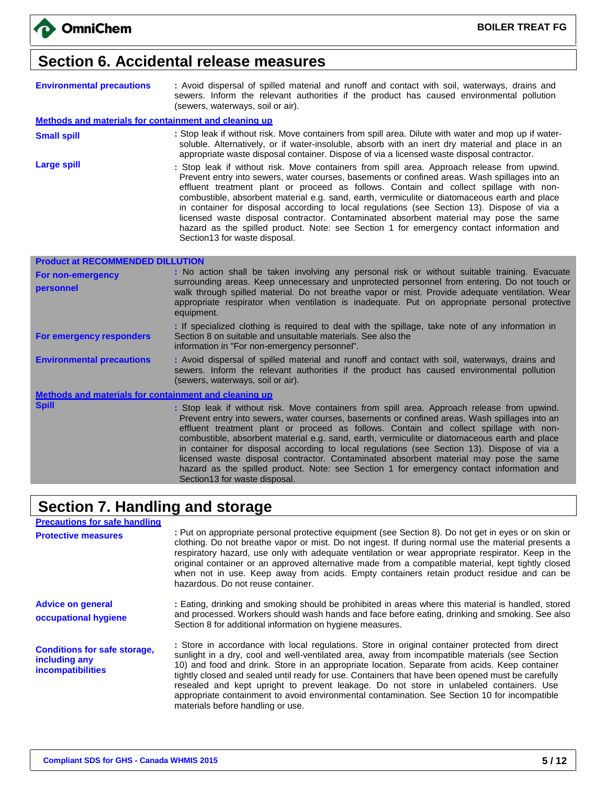### **Section 6. Accidental release measures**

| <b>Environmental precautions</b> | : Avoid dispersal of spilled material and runoff and contact with soil, waterways, drains and                                  |  |  |  |  |  |  |
|----------------------------------|--------------------------------------------------------------------------------------------------------------------------------|--|--|--|--|--|--|
|                                  | sewers. Inform the relevant authorities if the product has caused environmental pollution<br>(sewers, waterways, soil or air). |  |  |  |  |  |  |
|                                  |                                                                                                                                |  |  |  |  |  |  |

#### **Methods and materials for containment and cleaning up**

- **Small spill interproduce in Stop Stop leak if without risk.** Move containers from spill area. Dilute with water and mop up if watersoluble. Alternatively, or if water-insoluble, absorb with an inert dry material and place in an appropriate waste disposal container. Dispose of via a licensed waste disposal contractor.
- Large spill **Large spill interest and the Stop leak** if without risk. Move containers from spill area. Approach release from upwind. Prevent entry into sewers, water courses, basements or confined areas. Wash spillages into an effluent treatment plant or proceed as follows. Contain and collect spillage with noncombustible, absorbent material e.g. sand, earth, vermiculite or diatomaceous earth and place in container for disposal according to local regulations (see Section 13). Dispose of via a licensed waste disposal contractor. Contaminated absorbent material may pose the same hazard as the spilled product. Note: see Section 1 for emergency contact information and Section13 for waste disposal.

| <b>Product at RECOMMENDED DILLUTION</b>               |                                                                                                                                                                                                                                                                                                                                                                                                                                                                                                                                                                                 |
|-------------------------------------------------------|---------------------------------------------------------------------------------------------------------------------------------------------------------------------------------------------------------------------------------------------------------------------------------------------------------------------------------------------------------------------------------------------------------------------------------------------------------------------------------------------------------------------------------------------------------------------------------|
| For non-emergency<br>personnel                        | : No action shall be taken involving any personal risk or without suitable training. Evacuate<br>surrounding areas. Keep unnecessary and unprotected personnel from entering. Do not touch or<br>walk through spilled material. Do not breathe vapor or mist. Provide adequate ventilation. Wear<br>appropriate respirator when ventilation is inadequate. Put on appropriate personal protective<br>equipment.                                                                                                                                                                 |
| For emergency responders                              | : If specialized clothing is required to deal with the spillage, take note of any information in<br>Section 8 on suitable and unsuitable materials. See also the<br>information in "For non-emergency personnel".                                                                                                                                                                                                                                                                                                                                                               |
| <b>Environmental precautions</b>                      | : Avoid dispersal of spilled material and runoff and contact with soil, waterways, drains and<br>sewers. Inform the relevant authorities if the product has caused environmental pollution<br>(sewers, waterways, soil or air).                                                                                                                                                                                                                                                                                                                                                 |
| Methods and materials for containment and cleaning up |                                                                                                                                                                                                                                                                                                                                                                                                                                                                                                                                                                                 |
| <b>Spill</b>                                          | : Stop leak if without risk. Move containers from spill area. Approach release from upwind.<br>Prevent entry into sewers, water courses, basements or confined areas. Wash spillages into an<br>effluent treatment plant or proceed as follows. Contain and collect spillage with non-<br>combustible, absorbent material e.g. sand, earth, vermiculite or diatomaceous earth and place<br>in container for disposal according to local regulations (see Section 13). Dispose of via a<br>licensed waste disposal contractor. Contaminated absorbent material may pose the same |

hazard as the spilled product. Note: see Section 1 for emergency contact information and

### **Section 7. Handling and storage**

Section13 for waste disposal.

| <b>Precautions for safe handling</b>                                      |                                                                                                                                                                                                                                                                                                                                                                                                                                                                                                                                                                                                                                           |
|---------------------------------------------------------------------------|-------------------------------------------------------------------------------------------------------------------------------------------------------------------------------------------------------------------------------------------------------------------------------------------------------------------------------------------------------------------------------------------------------------------------------------------------------------------------------------------------------------------------------------------------------------------------------------------------------------------------------------------|
| <b>Protective measures</b>                                                | : Put on appropriate personal protective equipment (see Section 8). Do not get in eyes or on skin or<br>clothing. Do not breathe vapor or mist. Do not ingest. If during normal use the material presents a<br>respiratory hazard, use only with adequate ventilation or wear appropriate respirator. Keep in the<br>original container or an approved alternative made from a compatible material, kept tightly closed<br>when not in use. Keep away from acids. Empty containers retain product residue and can be<br>hazardous. Do not reuse container.                                                                                |
| <b>Advice on general</b><br>occupational hygiene                          | : Eating, drinking and smoking should be prohibited in areas where this material is handled, stored<br>and processed. Workers should wash hands and face before eating, drinking and smoking. See also<br>Section 8 for additional information on hygiene measures.                                                                                                                                                                                                                                                                                                                                                                       |
| <b>Conditions for safe storage,</b><br>including any<br>incompatibilities | : Store in accordance with local regulations. Store in original container protected from direct<br>sunlight in a dry, cool and well-ventilated area, away from incompatible materials (see Section<br>10) and food and drink. Store in an appropriate location. Separate from acids. Keep container<br>tightly closed and sealed until ready for use. Containers that have been opened must be carefully<br>resealed and kept upright to prevent leakage. Do not store in unlabeled containers. Use<br>appropriate containment to avoid environmental contamination. See Section 10 for incompatible<br>materials before handling or use. |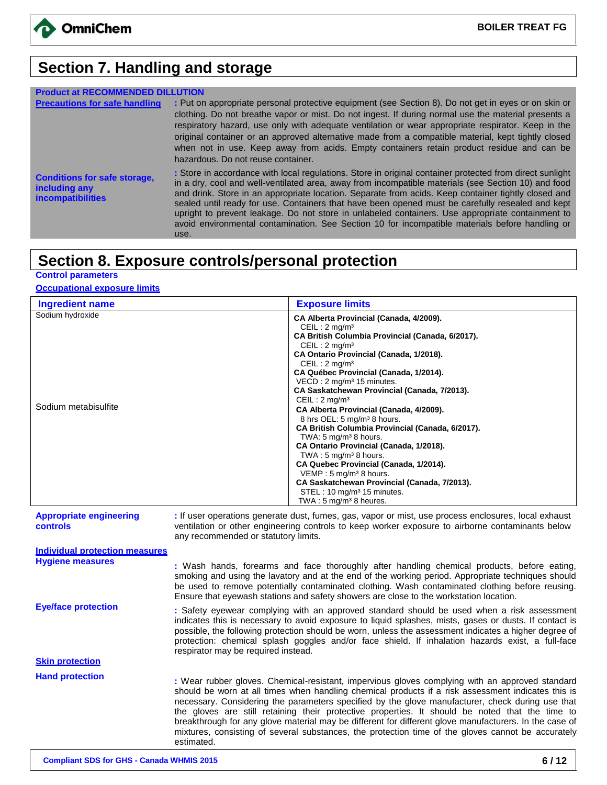

### **Section 7. Handling and storage**

| <b>Product at RECOMMENDED DILLUTION</b>                                          |                                                                                                                                                                                                                                                                                                                                                                                                                                                                                                                                                                                                                                           |
|----------------------------------------------------------------------------------|-------------------------------------------------------------------------------------------------------------------------------------------------------------------------------------------------------------------------------------------------------------------------------------------------------------------------------------------------------------------------------------------------------------------------------------------------------------------------------------------------------------------------------------------------------------------------------------------------------------------------------------------|
| <b>Precautions for safe handling</b>                                             | : Put on appropriate personal protective equipment (see Section 8). Do not get in eyes or on skin or<br>clothing. Do not breathe vapor or mist. Do not ingest. If during normal use the material presents a<br>respiratory hazard, use only with adequate ventilation or wear appropriate respirator. Keep in the<br>original container or an approved alternative made from a compatible material, kept tightly closed<br>when not in use. Keep away from acids. Empty containers retain product residue and can be<br>hazardous. Do not reuse container.                                                                                |
| <b>Conditions for safe storage,</b><br>including any<br><b>incompatibilities</b> | : Store in accordance with local regulations. Store in original container protected from direct sunlight<br>in a dry, cool and well-ventilated area, away from incompatible materials (see Section 10) and food<br>and drink. Store in an appropriate location. Separate from acids. Keep container tightly closed and<br>sealed until ready for use. Containers that have been opened must be carefully resealed and kept<br>upright to prevent leakage. Do not store in unlabeled containers. Use appropriate containment to<br>avoid environmental contamination. See Section 10 for incompatible materials before handling or<br>use. |

### **Section 8. Exposure controls/personal protection**

**Control parameters**

#### **Occupational exposure limits**

| <b>Ingredient name</b>                            | <b>Exposure limits</b>                                                                                                                                                                                                                                                                                                                                                                                                                                                                                                                                                                                                                                                                                                                                                                                                                                                  |
|---------------------------------------------------|-------------------------------------------------------------------------------------------------------------------------------------------------------------------------------------------------------------------------------------------------------------------------------------------------------------------------------------------------------------------------------------------------------------------------------------------------------------------------------------------------------------------------------------------------------------------------------------------------------------------------------------------------------------------------------------------------------------------------------------------------------------------------------------------------------------------------------------------------------------------------|
| Sodium hydroxide<br>Sodium metabisulfite          | CA Alberta Provincial (Canada, 4/2009).<br>CEIL: $2 \text{ mg/m}^3$<br>CA British Columbia Provincial (Canada, 6/2017).<br>CEIL: $2 \text{ mg/m}^3$<br>CA Ontario Provincial (Canada, 1/2018).<br>CEIL: $2 \text{ mg/m}^3$<br>CA Québec Provincial (Canada, 1/2014).<br>VECD: 2 mg/m <sup>3</sup> 15 minutes.<br>CA Saskatchewan Provincial (Canada, 7/2013).<br>CEIL: 2 mg/m <sup>3</sup><br>CA Alberta Provincial (Canada, 4/2009).<br>8 hrs OEL: 5 mg/m <sup>3</sup> 8 hours.<br>CA British Columbia Provincial (Canada, 6/2017).<br>TWA: 5 mg/m <sup>3</sup> 8 hours.<br>CA Ontario Provincial (Canada, 1/2018).<br>TWA: $5 \text{ mg/m}^3$ 8 hours.<br>CA Quebec Provincial (Canada, 1/2014).<br>VEMP : $5 \text{ mg/m}^3$ 8 hours.<br>CA Saskatchewan Provincial (Canada, 7/2013).<br>STEL: 10 mg/m <sup>3</sup> 15 minutes.<br>TWA: $5 \text{ mg/m}^3$ 8 heures. |
| <b>Appropriate engineering</b><br><b>controls</b> | : If user operations generate dust, fumes, gas, vapor or mist, use process enclosures, local exhaust<br>ventilation or other engineering controls to keep worker exposure to airborne contaminants below<br>any recommended or statutory limits.                                                                                                                                                                                                                                                                                                                                                                                                                                                                                                                                                                                                                        |

**Individual protection measures Hygiene measures :** Wash hands, forearms and face thoroughly after handling chemical products, before eating, smoking and using the lavatory and at the end of the working period. Appropriate techniques should be used to remove potentially contaminated clothing. Wash contaminated clothing before reusing. Ensure that eyewash stations and safety showers are close to the workstation location. **Eye/face protection** : Safety eyewear complying with an approved standard should be used when a risk assessment indicates this is necessary to avoid exposure to liquid splashes, mists, gases or dusts. If contact is possible, the following protection should be worn, unless the assessment indicates a higher degree of protection: chemical splash goggles and/or face shield. If inhalation hazards exist, a full-face respirator may be required instead. **Skin protection Hand protection :** Wear rubber gloves. Chemical-resistant, impervious gloves complying with an approved standard should be worn at all times when handling chemical products if a risk assessment indicates this is necessary. Considering the parameters specified by the glove manufacturer, check during use that the gloves are still retaining their protective properties. It should be noted that the time to breakthrough for any glove material may be different for different glove manufacturers. In the case of mixtures, consisting of several substances, the protection time of the gloves cannot be accurately estimated.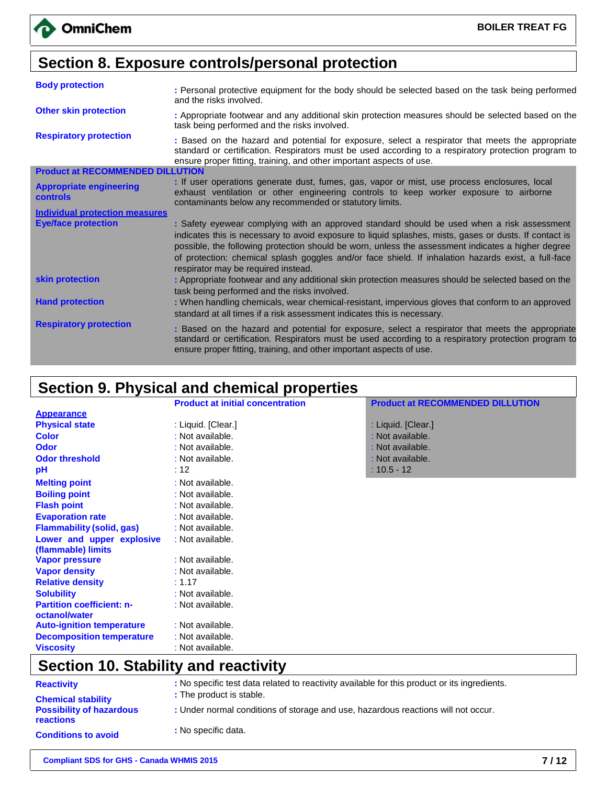# **Section 8. Exposure controls/personal protection**

| <b>Body protection</b>                            | : Personal protective equipment for the body should be selected based on the task being performed<br>and the risks involved.                                                                                                                                                                                                                                                                                                                             |  |  |
|---------------------------------------------------|----------------------------------------------------------------------------------------------------------------------------------------------------------------------------------------------------------------------------------------------------------------------------------------------------------------------------------------------------------------------------------------------------------------------------------------------------------|--|--|
| <b>Other skin protection</b>                      | : Appropriate footwear and any additional skin protection measures should be selected based on the<br>task being performed and the risks involved.                                                                                                                                                                                                                                                                                                       |  |  |
| <b>Respiratory protection</b>                     | : Based on the hazard and potential for exposure, select a respirator that meets the appropriate<br>standard or certification. Respirators must be used according to a respiratory protection program to<br>ensure proper fitting, training, and other important aspects of use.                                                                                                                                                                         |  |  |
| <b>Product at RECOMMENDED DILLUTION</b>           |                                                                                                                                                                                                                                                                                                                                                                                                                                                          |  |  |
| <b>Appropriate engineering</b><br><b>controls</b> | : If user operations generate dust, fumes, gas, vapor or mist, use process enclosures, local<br>exhaust ventilation or other engineering controls to keep worker exposure to airborne<br>contaminants below any recommended or statutory limits.                                                                                                                                                                                                         |  |  |
| <b>Individual protection measures</b>             |                                                                                                                                                                                                                                                                                                                                                                                                                                                          |  |  |
| <b>Eye/face protection</b>                        | : Safety eyewear complying with an approved standard should be used when a risk assessment<br>indicates this is necessary to avoid exposure to liquid splashes, mists, gases or dusts. If contact is<br>possible, the following protection should be worn, unless the assessment indicates a higher degree<br>of protection: chemical splash goggles and/or face shield. If inhalation hazards exist, a full-face<br>respirator may be required instead. |  |  |
| skin protection                                   | : Appropriate footwear and any additional skin protection measures should be selected based on the<br>task being performed and the risks involved.                                                                                                                                                                                                                                                                                                       |  |  |
| <b>Hand protection</b>                            | : When handling chemicals, wear chemical-resistant, impervious gloves that conform to an approved<br>standard at all times if a risk assessment indicates this is necessary.                                                                                                                                                                                                                                                                             |  |  |
| <b>Respiratory protection</b>                     | : Based on the hazard and potential for exposure, select a respirator that meets the appropriate<br>standard or certification. Respirators must be used according to a respiratory protection program to<br>ensure proper fitting, training, and other important aspects of use.                                                                                                                                                                         |  |  |

# **Section 9. Physical and chemical properties**

|                                  | <b>Product at initial concentration</b> | <b>Product at RECOMMENDED DILLUTION</b> |
|----------------------------------|-----------------------------------------|-----------------------------------------|
| <b>Appearance</b>                |                                         |                                         |
| <b>Physical state</b>            | : Liquid. [Clear.]                      | : Liquid. [Clear.]                      |
| <b>Color</b>                     | : Not available.                        | : Not available.                        |
| <b>Odor</b>                      | : Not available.                        | : Not available.                        |
| <b>Odor threshold</b>            | : Not available.                        | : Not available.                        |
| рH                               | :12                                     | $: 10.5 - 12$                           |
| <b>Melting point</b>             | : Not available.                        |                                         |
| <b>Boiling point</b>             | : Not available.                        |                                         |
| <b>Flash point</b>               | : Not available.                        |                                         |
| <b>Evaporation rate</b>          | : Not available.                        |                                         |
| <b>Flammability (solid, gas)</b> | : Not available.                        |                                         |
| Lower and upper explosive        | : Not available.                        |                                         |
| (flammable) limits               |                                         |                                         |
| <b>Vapor pressure</b>            | : Not available.                        |                                         |
| <b>Vapor density</b>             | : Not available.                        |                                         |
| <b>Relative density</b>          | : 1.17                                  |                                         |
| <b>Solubility</b>                | : Not available.                        |                                         |
| <b>Partition coefficient: n-</b> | : Not available.                        |                                         |
| octanol/water                    |                                         |                                         |
| <b>Auto-ignition temperature</b> | : Not available.                        |                                         |
| <b>Decomposition temperature</b> | : Not available.                        |                                         |
| <b>Viscosity</b>                 | : Not available.                        |                                         |

# **Section 10. Stability and reactivity**

| <b>Reactivity</b>                                   | : No specific test data related to reactivity available for this product or its ingredients. |
|-----------------------------------------------------|----------------------------------------------------------------------------------------------|
| <b>Chemical stability</b>                           | : The product is stable.                                                                     |
| <b>Possibility of hazardous</b><br><b>reactions</b> | : Under normal conditions of storage and use, hazardous reactions will not occur.            |
| <b>Conditions to avoid</b>                          | : No specific data.                                                                          |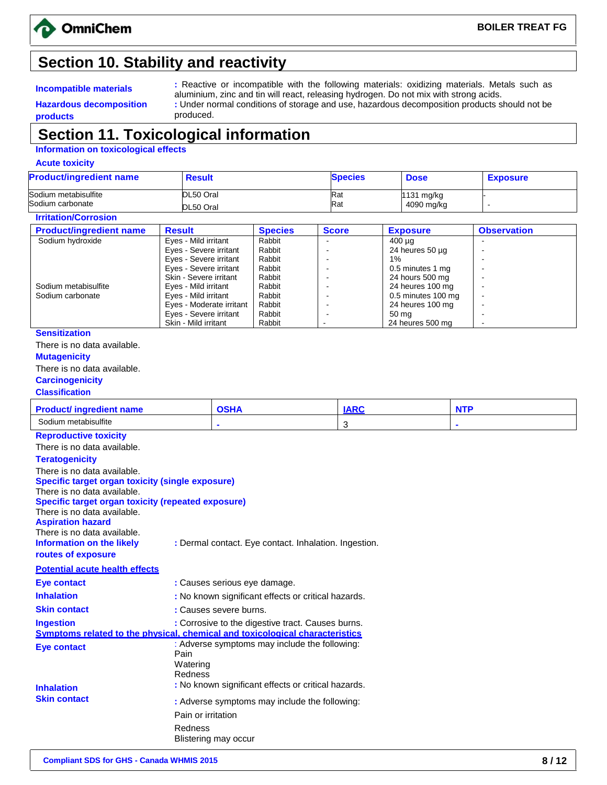

## **Section 10. Stability and reactivity**

**Hazardous decomposition**

**Incompatible materials :** Reactive or incompatible with the following materials: oxidizing materials. Metals such as aluminium, zinc and tin will react, releasing hydrogen. Do not mix with strong acids. **:** Under normal conditions of storage and use, hazardous decomposition products should not be produced.

### **Section 11. Toxicological information**

#### **Information on toxicological effects**

**Acute toxicity**

**products**

| <b>Product/ingredient name</b>                                               | <b>Result</b>                                       |                                                       | <b>Species</b> | <b>Dose</b>                            | <b>Exposure</b>          |
|------------------------------------------------------------------------------|-----------------------------------------------------|-------------------------------------------------------|----------------|----------------------------------------|--------------------------|
| Sodium metabisulfite                                                         | DL50 Oral                                           |                                                       | Rat            | 1131 mg/kg                             |                          |
| Sodium carbonate                                                             | DL50 Oral                                           |                                                       | Rat            | 4090 mg/kg                             |                          |
| <b>Irritation/Corrosion</b>                                                  |                                                     |                                                       |                |                                        |                          |
| <b>Product/ingredient name</b>                                               | <b>Result</b>                                       | <b>Species</b>                                        | <b>Score</b>   | <b>Exposure</b>                        | <b>Observation</b>       |
| Sodium hydroxide                                                             | Eyes - Mild irritant                                | Rabbit                                                |                | $400 \mu q$                            | $\overline{a}$           |
|                                                                              | Eyes - Severe irritant<br>Eyes - Severe irritant    | Rabbit<br>Rabbit                                      | ÷,             | 24 heures $50 \mu g$<br>$1\%$          | $\overline{\phantom{a}}$ |
|                                                                              | Eyes - Severe irritant                              | Rabbit                                                |                | 0.5 minutes 1 mg                       |                          |
|                                                                              | Skin - Severe irritant                              | Rabbit                                                | ÷              | 24 hours 500 mg                        |                          |
| Sodium metabisulfite                                                         | Eyes - Mild irritant                                | Rabbit                                                |                | 24 heures 100 mg                       |                          |
| Sodium carbonate                                                             | Eyes - Mild irritant<br>Eyes - Moderate irritant    | Rabbit<br>Rabbit                                      | L.<br>L,       | 0.5 minutes 100 mg<br>24 heures 100 mg | ÷,                       |
|                                                                              | Eyes - Severe irritant                              | Rabbit                                                | ÷,             | 50 mg                                  | $\ddot{\phantom{a}}$     |
|                                                                              | Skin - Mild irritant                                | Rabbit                                                |                | 24 heures 500 mg                       | L.                       |
| <b>Sensitization</b>                                                         |                                                     |                                                       |                |                                        |                          |
| There is no data available.                                                  |                                                     |                                                       |                |                                        |                          |
| <b>Mutagenicity</b>                                                          |                                                     |                                                       |                |                                        |                          |
| There is no data available.                                                  |                                                     |                                                       |                |                                        |                          |
| <b>Carcinogenicity</b>                                                       |                                                     |                                                       |                |                                        |                          |
| <b>Classification</b>                                                        |                                                     |                                                       |                |                                        |                          |
| <b>Product/ ingredient name</b>                                              |                                                     | <b>OSHA</b>                                           | <b>IARC</b>    |                                        | <b>NTP</b>               |
| Sodium metabisulfite                                                         |                                                     |                                                       | 3              |                                        |                          |
| <b>Reproductive toxicity</b>                                                 |                                                     |                                                       |                |                                        |                          |
| There is no data available.                                                  |                                                     |                                                       |                |                                        |                          |
| <b>Teratogenicity</b>                                                        |                                                     |                                                       |                |                                        |                          |
| There is no data available.                                                  |                                                     |                                                       |                |                                        |                          |
| <b>Specific target organ toxicity (single exposure)</b>                      |                                                     |                                                       |                |                                        |                          |
| There is no data available.                                                  |                                                     |                                                       |                |                                        |                          |
| <b>Specific target organ toxicity (repeated exposure)</b>                    |                                                     |                                                       |                |                                        |                          |
| There is no data available.                                                  |                                                     |                                                       |                |                                        |                          |
| <b>Aspiration hazard</b>                                                     |                                                     |                                                       |                |                                        |                          |
| There is no data available.                                                  |                                                     |                                                       |                |                                        |                          |
| Information on the likely                                                    |                                                     | : Dermal contact. Eye contact. Inhalation. Ingestion. |                |                                        |                          |
| routes of exposure                                                           |                                                     |                                                       |                |                                        |                          |
| <b>Potential acute health effects</b>                                        |                                                     |                                                       |                |                                        |                          |
| Eye contact                                                                  | : Causes serious eye damage.                        |                                                       |                |                                        |                          |
| <b>Inhalation</b>                                                            | : No known significant effects or critical hazards. |                                                       |                |                                        |                          |
| <b>Skin contact</b>                                                          | : Causes severe burns.                              |                                                       |                |                                        |                          |
| <b>Ingestion</b>                                                             |                                                     | : Corrosive to the digestive tract. Causes burns.     |                |                                        |                          |
| Symptoms related to the physical, chemical and toxicological characteristics |                                                     |                                                       |                |                                        |                          |
| <b>Eye contact</b>                                                           |                                                     | : Adverse symptoms may include the following:         |                |                                        |                          |
|                                                                              | Pain                                                |                                                       |                |                                        |                          |
|                                                                              | Watering<br>Redness                                 |                                                       |                |                                        |                          |

Skin contact : Adverse symptoms may include the following: Pain or irritation Redness

Blistering may occur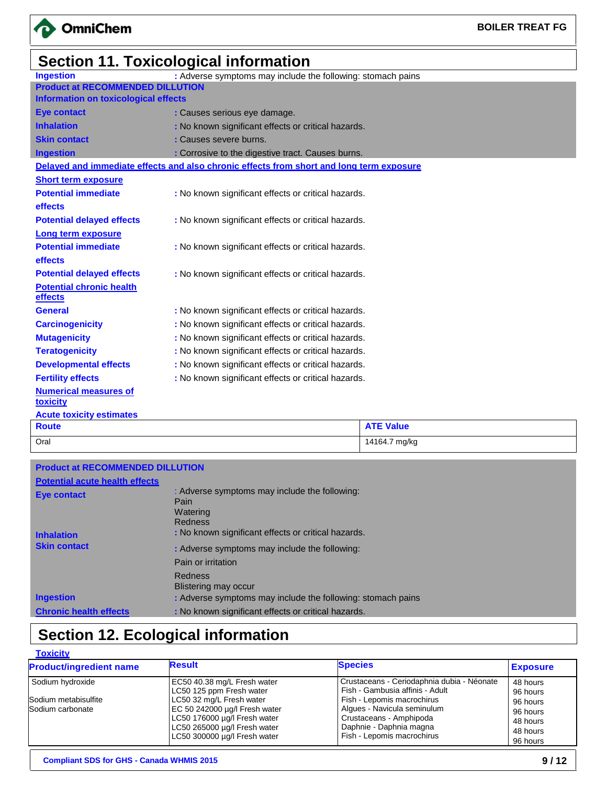

# **Section 11. Toxicological information**

| <b>Ingestion</b>                            | : Adverse symptoms may include the following: stomach pains                              |                  |
|---------------------------------------------|------------------------------------------------------------------------------------------|------------------|
| <b>Product at RECOMMENDED DILLUTION</b>     |                                                                                          |                  |
| <b>Information on toxicological effects</b> |                                                                                          |                  |
| <b>Eye contact</b>                          | : Causes serious eye damage.                                                             |                  |
| <b>Inhalation</b>                           | : No known significant effects or critical hazards.                                      |                  |
| <b>Skin contact</b>                         | : Causes severe burns.                                                                   |                  |
| <b>Ingestion</b>                            | : Corrosive to the digestive tract. Causes burns.                                        |                  |
|                                             | Delayed and immediate effects and also chronic effects from short and long term exposure |                  |
| <b>Short term exposure</b>                  |                                                                                          |                  |
| <b>Potential immediate</b>                  | : No known significant effects or critical hazards.                                      |                  |
| <b>effects</b>                              |                                                                                          |                  |
| <b>Potential delayed effects</b>            | : No known significant effects or critical hazards.                                      |                  |
| Long term exposure                          |                                                                                          |                  |
| <b>Potential immediate</b>                  | : No known significant effects or critical hazards.                                      |                  |
| effects                                     |                                                                                          |                  |
| <b>Potential delayed effects</b>            | : No known significant effects or critical hazards.                                      |                  |
| <b>Potential chronic health</b><br>effects  |                                                                                          |                  |
| <b>General</b>                              | : No known significant effects or critical hazards.                                      |                  |
| <b>Carcinogenicity</b>                      | : No known significant effects or critical hazards.                                      |                  |
| <b>Mutagenicity</b>                         | : No known significant effects or critical hazards.                                      |                  |
| <b>Teratogenicity</b>                       | : No known significant effects or critical hazards.                                      |                  |
| <b>Developmental effects</b>                | : No known significant effects or critical hazards.                                      |                  |
| <b>Fertility effects</b>                    | : No known significant effects or critical hazards.                                      |                  |
| <b>Numerical measures of</b><br>toxicity    |                                                                                          |                  |
| <b>Acute toxicity estimates</b>             |                                                                                          |                  |
| <b>Route</b>                                |                                                                                          | <b>ATE Value</b> |
| Oral                                        |                                                                                          | 14164.7 mg/kg    |

| <b>Product at RECOMMENDED DILLUTION</b> |                                                                                                |
|-----------------------------------------|------------------------------------------------------------------------------------------------|
| <b>Potential acute health effects</b>   |                                                                                                |
| <b>Eye contact</b>                      | : Adverse symptoms may include the following:<br>Pain<br>Watering<br>Redness                   |
| <b>Inhalation</b>                       | : No known significant effects or critical hazards.                                            |
| <b>Skin contact</b>                     | : Adverse symptoms may include the following:                                                  |
|                                         | Pain or irritation                                                                             |
| <b>Ingestion</b>                        | Redness<br>Blistering may occur<br>: Adverse symptoms may include the following: stomach pains |
| <b>Chronic health effects</b>           | : No known significant effects or critical hazards.                                            |

# **Section 12. Ecological information**

## **Toxicity**

| <b>Product/ingredient name</b> | <b>Result</b>                 | <b>Species</b>                             | <b>Exposure</b> |
|--------------------------------|-------------------------------|--------------------------------------------|-----------------|
| Sodium hydroxide               | EC50 40.38 mg/L Fresh water   | Crustaceans - Ceriodaphnia dubia - Néonate | 48 hours        |
|                                | LC50 125 ppm Fresh water      | Fish - Gambusia affinis - Adult            | 96 hours        |
| Sodium metabisulfite           | LC50 32 mg/L Fresh water      | Fish - Lepomis macrochirus                 | 96 hours        |
| Sodium carbonate               | EC 50 242000 µg/l Fresh water | Algues - Navicula seminulum                | 96 hours        |
|                                | LC50 176000 µg/l Fresh water  | Crustaceans - Amphipoda                    | 48 hours        |
|                                | LC50 265000 µg/l Fresh water  | Daphnie - Daphnia magna                    | 48 hours        |
|                                | LC50 300000 µg/l Fresh water  | Fish - Lepomis macrochirus                 | 96 hours        |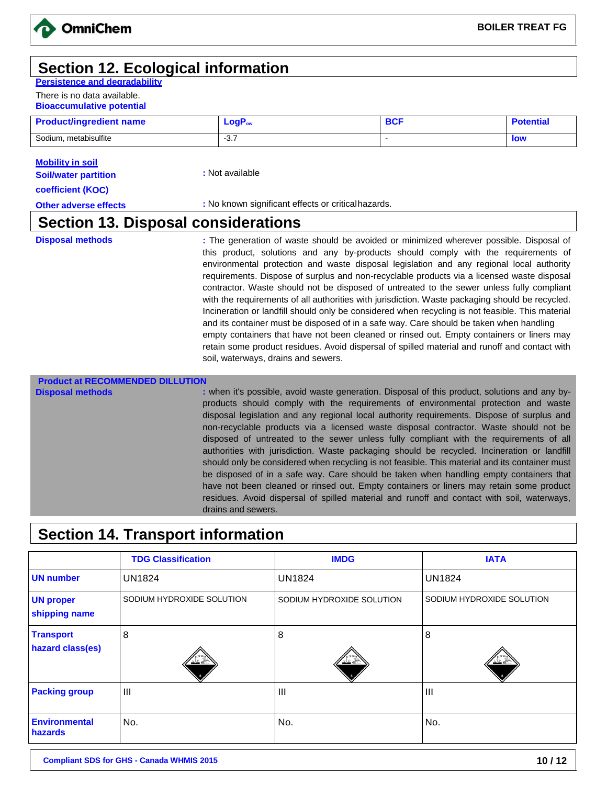### **Section 12. Ecological information**

**Persistence and degradability**

There is no data available. **Bioaccumulative potential**

| <b>Product/ingredient name</b> | $LogP_{ow}$ | DU. | <b>Potential</b> |
|--------------------------------|-------------|-----|------------------|
| Sodium, metabisulfite          | ັບ          |     | <b>low</b>       |

#### **Mobility in soil**

**Soil/water partition** 

**coefficient (KOC)**

**Other adverse effects by Eq. 2.1 Exercise 2.1 All 2.2 Exercises :** No known significant effects or critical hazards.

**:** Not available

### **Section 13. Disposal considerations**

**Disposal methods included in the senaration** of waste should be avoided or minimized wherever possible. Disposal of this product, solutions and any by-products should comply with the requirements of environmental protection and waste disposal legislation and any regional local authority requirements. Dispose of surplus and non-recyclable products via a licensed waste disposal contractor. Waste should not be disposed of untreated to the sewer unless fully compliant with the requirements of all authorities with jurisdiction. Waste packaging should be recycled. Incineration or landfill should only be considered when recycling is not feasible. This material and its container must be disposed of in a safe way. Care should be taken when handling empty containers that have not been cleaned or rinsed out. Empty containers or liners may retain some product residues. Avoid dispersal of spilled material and runoff and contact with soil, waterways, drains and sewers.

### **Product at RECOMMENDED DILLUTION**

**Disposal methods** *i* **when it's possible, avoid waste generation. Disposal of this product, solutions and any by**products should comply with the requirements of environmental protection and waste disposal legislation and any regional local authority requirements. Dispose of surplus and non-recyclable products via a licensed waste disposal contractor. Waste should not be disposed of untreated to the sewer unless fully compliant with the requirements of all authorities with jurisdiction. Waste packaging should be recycled. Incineration or landfill should only be considered when recycling is not feasible. This material and its container must be disposed of in a safe way. Care should be taken when handling empty containers that have not been cleaned or rinsed out. Empty containers or liners may retain some product residues. Avoid dispersal of spilled material and runoff and contact with soil, waterways, drains and sewers.

# **Section 14. Transport information**

|                                      | <b>TDG Classification</b> | <b>IMDG</b>               | <b>IATA</b>               |
|--------------------------------------|---------------------------|---------------------------|---------------------------|
| <b>UN</b> number                     | <b>UN1824</b>             | <b>UN1824</b>             | <b>UN1824</b>             |
| <b>UN proper</b><br>shipping name    | SODIUM HYDROXIDE SOLUTION | SODIUM HYDROXIDE SOLUTION | SODIUM HYDROXIDE SOLUTION |
| <b>Transport</b><br>hazard class(es) | 8<br>双毛                   | 8<br>双叉                   | 8<br>تے گئے               |
| <b>Packing group</b>                 | $\mathbf{III}$            | $\mathbf{III}$            | $\mathbf{III}$            |
| <b>Environmental</b><br>hazards      | No.                       | No.                       | No.                       |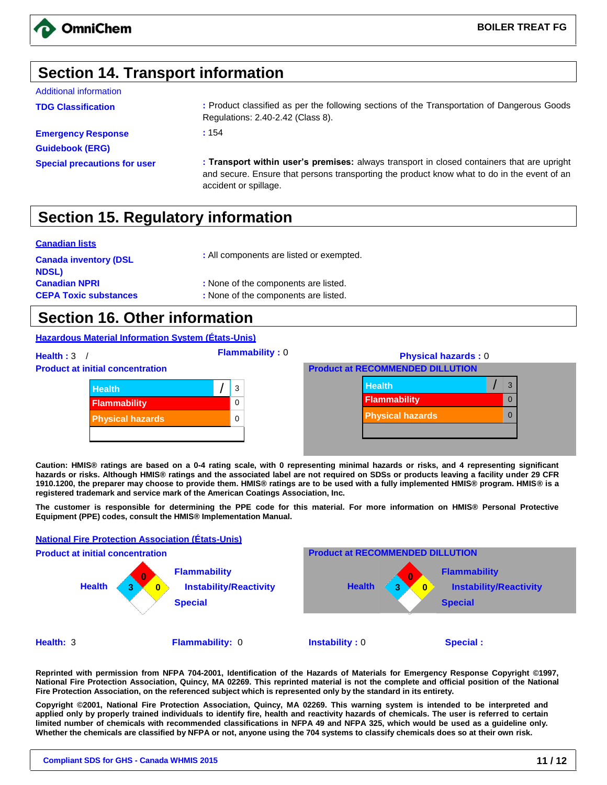

### **Section 14. Transport information**

#### Additional information

**Emergency Response Guidebook (ERG)**

**TDG Classification :** Product classified as per the following sections of the Transportation of Dangerous Goods Regulations: 2.40-2.42 (Class 8).

**:** 154

**Special precautions for user : Transport within user's premises:** always transport in closed containers that are upright and secure. Ensure that persons transporting the product know what to do in the event of an accident or spillage.

# **Section 15. Regulatory information**

#### **Canadian lists**

| : All components are listed or exempted. |
|------------------------------------------|
| : None of the components are listed.     |
| : None of the components are listed.     |
|                                          |

### **Section 16. Other information**

#### **Hazardous Material Information System (États-Unis)**

**Health :** 3 / **Flammability :** 0 **Physical hazards :** 0 **Product at initial concentration Product at RECOMMENDED DILLUTION Health** / 3 **Flammability** 0 **Physical hazards** 0 **Health** *Health Mealth Mealth Mealth Mealth Mealth Mealth Mealth* **Flammability District 20** 0 **Physical hazards** 0

**Caution: HMIS® ratings are based on a 0-4 rating scale, with 0 representing minimal hazards or risks, and 4 representing significant hazards or risks. Although HMIS® ratings and the associated label are not required on SDSs or products leaving a facility under 29 CFR 1910.1200, the preparer may choose to provide them. HMIS® ratings are to be used with a fully implemented HMIS® program. HMIS® is a registered trademark and service mark of the American Coatings Association, Inc.** 

**The customer is responsible for determining the PPE code for this material. For more information on HMIS® Personal Protective Equipment (PPE) codes, consult the HMIS® Implementation Manual.**



**Reprinted with permission from NFPA 704-2001, Identification of the Hazards of Materials for Emergency Response Copyright ©1997, National Fire Protection Association, Quincy, MA 02269. This reprinted material is not the complete and official position of the National Fire Protection Association, on the referenced subject which is represented only by the standard in its entirety.** 

**Copyright ©2001, National Fire Protection Association, Quincy, MA 02269. This warning system is intended to be interpreted and applied only by properly trained individuals to identify fire, health and reactivity hazards of chemicals. The user is referred to certain limited number of chemicals with recommended classifications in NFPA 49 and NFPA 325, which would be used as a guideline only. Whether the chemicals are classified by NFPA or not, anyone using the 704 systems to classify chemicals does so at their own risk.**